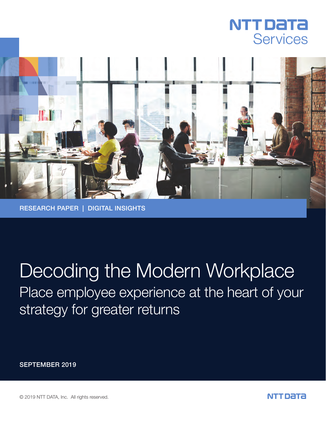



RESEARCH PAPER | DIGITAL INSIGHTS

# Place employee experience at the heart of your Decoding the Modern Workplace

strategy for greater returns

SEPTEMBER 2019

© 2019 NTT DATA, Inc. All rights reserved.

NTT DATA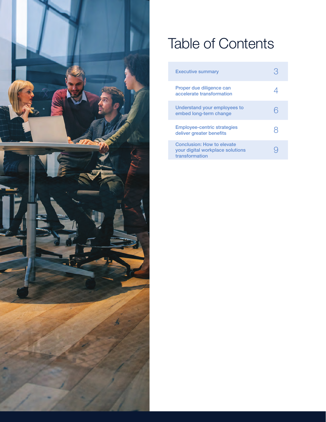

# Table of Contents

| <b>Executive summary</b>                                                         |  |
|----------------------------------------------------------------------------------|--|
| Proper due diligence can<br>accelerate transformation                            |  |
| Understand your employees to<br>embed long-term change                           |  |
| <b>Employee-centric strategies</b><br>deliver greater benefits                   |  |
| Conclusion: How to elevate<br>your digital workplace solutions<br>transformation |  |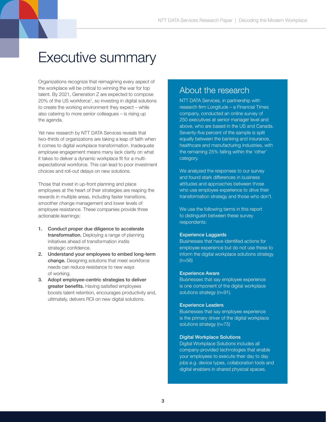## Executive summary

Organizations recognize that reimagining every aspect of the workplace will be critical to winning the war for top talent. By 2021, Generation Z are expected to compose 20% of the US workforce<sup>1</sup>, so investing in digital solutions to create the working environment they expect – while also catering to more senior colleagues – is rising up the agenda.

Yet new research by NTT DATA Services reveals that two-thirds of organizations are taking a leap of faith when it comes to digital workplace transformation. Inadequate employee engagement means many lack clarity on what it takes to deliver a dynamic workplace fit for a multiexpectational workforce. This can lead to poor investment choices and roll-out delays on new solutions.

Those that invest in up-front planning and place employees at the heart of their strategies are reaping the rewards in multiple areas, including faster transitions, smoother change management and lower levels of employee resistance. These companies provide three actionable learnings:

- 1. Conduct proper due diligence to accelerate transformation. Deploying a range of planning initiatives ahead of transformation instils strategic confidence.
- 2. Understand your employees to embed long-term change. Designing solutions that meet workforce needs can reduce resistance to new ways of working.
- 3. Adopt employee-centric strategies to deliver greater benefits. Having satisfied employees boosts talent retention, encourages productivity and, ultimately, delivers ROI on new digital solutions.

#### About the research

NTT DATA Services, in partnership with research firm Longitude – a Financial Times company, conducted an online survey of 250 executives at senior manager level and above, who are based in the US and Canada. Seventy-five percent of the sample is split equally between the banking and insurance, healthcare and manufacturing industries, with the remaining 25% falling within the 'other' category.

We analyzed the responses to our survey and found stark differences in business attitudes and approaches between those who use employee experience to drive their transformation strategy and those who don't.

We use the following terms in this report to distinguish between these survey respondents:

#### Experience Laggards

Businesses that have identified actions for employee experience but do not use these to inform the digital workplace solutions strategy (n=56)

#### Experience Aware

Businesses that say employee experience is one component of the digital workplace solutions strategy (n=91).

#### Experience Leaders

Businesses that say employee experience is the primary driver of the digital workplace solutions strategy (n=75)

#### Digital Workplace Solutions

Digital Workplace Solutions includes all company-provided technologies that enable your employees to execute their day to day jobs e.g. device types, collaboration tools and digital enablers in shared physical spaces.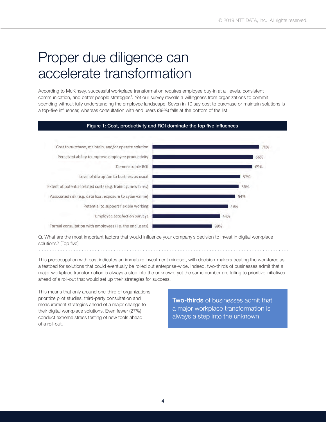## Proper due diligence can accelerate transformation

According to McKinsey, successful workplace transformation requires employee buy-in at all levels, consistent communication, and better people strategies<sup>2</sup>. Yet our survey reveals a willingness from organizations to commit spending without fully understanding the employee landscape. Seven in 10 say cost to purchase or maintain solutions is a top-five influencer, whereas consultation with end users (39%) falls at the bottom of the list.



Q. What are the most important factors that would influence your company's decision to invest in digital workplace solutions? [Top five]

This preoccupation with cost indicates an immature investment mindset, with decision-makers treating the workforce as a testbed for solutions that could eventually be rolled out enterprise-wide. Indeed, two-thirds of businesses admit that a major workplace transformation is always a step into the unknown, yet the same number are failing to prioritize initiatives ahead of a roll-out that would set up their strategies for success.

This means that only around one-third of organizations prioritize pilot studies, third-party consultation and measurement strategies ahead of a major change to their digital workplace solutions. Even fewer (27%) conduct extreme stress testing of new tools ahead of a roll-out.

**Two-thirds** of businesses admit that a major workplace transformation is always a step into the unknown.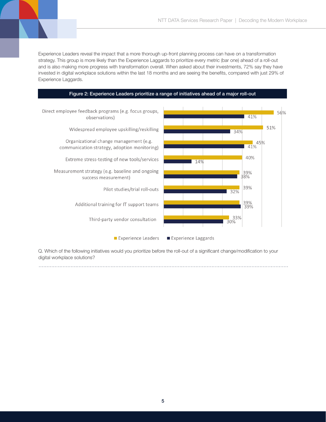Experience Leaders reveal the impact that a more thorough up-front planning process can have on a transformation strategy. This group is more likely than the Experience Laggards to prioritize every metric (bar one) ahead of a roll-out and is also making more progress with transformation overall. When asked about their investments, 72% say they have invested in digital workplace solutions within the last 18 months and are seeing the benefits, compared with just 29% of Experience Laggards.

Figure 2: Experience Leaders prioritize a range of initiatives ahead of a major roll-out



Q. Which of the following initiatives would you prioritize before the roll-out of a significant change/modification to your digital workplace solutions?

5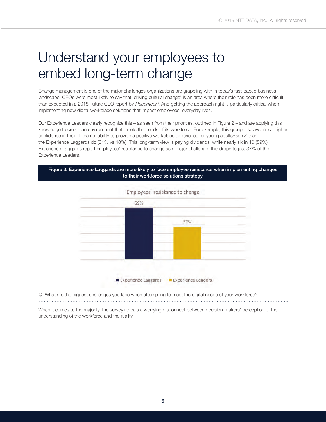## Understand your employees to embed long-term change

Change management is one of the major challenges organizations are grappling with in today's fast-paced business landscape. CEOs were most likely to say that 'driving cultural change' is an area where their role has been more difficult than expected in a 2018 Future CEO report by *Raconteur<sup>3</sup>*. And getting the approach right is particularly critical when implementing new digital workplace solutions that impact employees' everyday lives.

Our Experience Leaders clearly recognize this – as seen from their priorities, outlined in Figure 2 – and are applying this knowledge to create an environment that meets the needs of its workforce. For example, this group displays much higher confidence in their IT teams' ability to provide a positive workplace experience for young adults/Gen Z than the Experience Laggards do (81% vs 48%). This long-term view is paying dividends: while nearly six in 10 (59%) Experience Laggards report employees' resistance to change as a major challenge, this drops to just 37% of the Experience Leaders.

Figure 3: Experience Laggards are more likely to face employee resistance when implementing changes to their workforce solutions strategy



Q. What are the biggest challenges you face when attempting to meet the digital needs of your workforce? 

When it comes to the majority, the survey reveals a worrying disconnect between decision-makers' perception of their understanding of the workforce and the reality.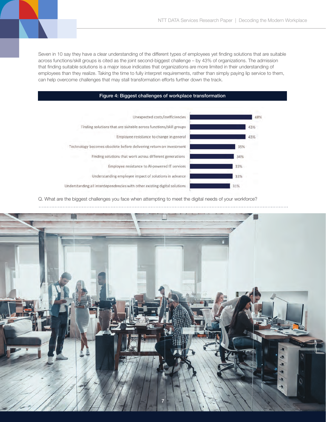Seven in 10 say they have a clear understanding of the different types of employees yet finding solutions that are suitable across functions/skill groups is cited as the joint second-biggest challenge – by 43% of organizations. The admission that finding suitable solutions is a major issue indicates that organizations are more limited in their understanding of employees than they realize. Taking the time to fully interpret requirements, rather than simply paying lip service to them, can help overcome challenges that may stall transformation efforts further down the track.



Q. What are the biggest challenges you face when attempting to meet the digital needs of your workforce?

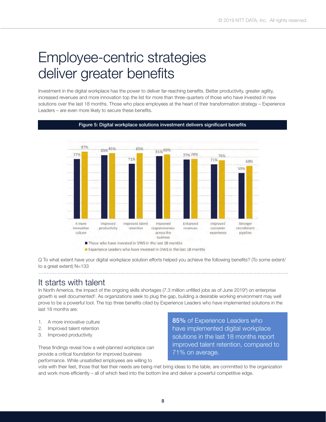## Employee-centric strategies deliver greater benefits

Investment in the digital workplace has the power to deliver far-reaching benefits. Better productivity, greater agility, increased revenues and more innovation top the list for more than three-quarters of those who have invested in new solutions over the last 18 months. Those who place employees at the heart of their transformation strategy – Experience Leaders – are even more likely to secure these benefits.

Figure 5: Digital workplace solutions investment delivers significant benefits



Experience Leaders who have invested in DWS in the last 18 months

Q To what extent have your digital workplace solution efforts helped you achieve the following benefits? (To some extent/ to a great extent) N=133

#### It starts with talent

In North America, the impact of the ongoing skills shortages (7.3 million unfilled jobs as of June 2019<sup>4</sup>) on enterprise growth is well documented<sup>5</sup>. As organizations seek to plug the gap, building a desirable working environment may well prove to be a powerful tool. The top three benefits cited by Experience Leaders who have implemented solutions in the last 18 months are:

- 1. A more innovative culture
- 2. Improved talent retention
- 3. Improved productivity

These findings reveal how a well-planned workplace can provide a critical foundation for improved business performance. While unsatisfied employees are willing to

85% of Experience Leaders who have implemented digital workplace solutions in the last 18 months report improved talent retention, compared to 71% on average.

vote with their feet, those that feel their needs are being met bring ideas to the table, are committed to the organization and work more efficiently – all of which feed into the bottom line and deliver a powerful competitive edge.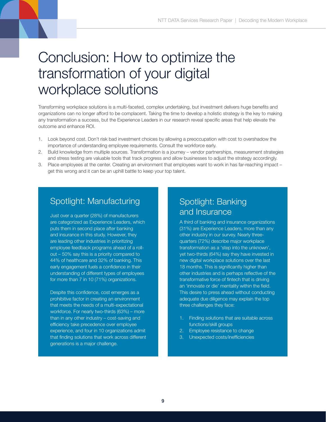## Conclusion: How to optimize the transformation of your digital workplace solutions

Transforming workplace solutions is a multi-faceted, complex undertaking, but investment delivers huge benefits and organizations can no longer afford to be complacent. Taking the time to develop a holistic strategy is the key to making any transformation a success, but the Experience Leaders in our research reveal specific areas that help elevate the outcome and enhance ROI.

- 1. Look beyond cost. Don't risk bad investment choices by allowing a preoccupation with cost to overshadow the importance of understanding employee requirements. Consult the workforce early.
- 2. Build knowledge from multiple sources. Transformation is a journey vendor partnerships, measurement strategies and stress testing are valuable tools that track progress and allow businesses to adjust the strategy accordingly.
- 3. Place employees at the center. Creating an environment that employees want to work in has far-reaching impact get this wrong and it can be an uphill battle to keep your top talent.

### Spotlight: Manufacturing

Just over a quarter (28%) of manufacturers are categorized as Experience Leaders, which puts them in second place after banking and insurance in this study. However, they are leading other industries in prioritizing employee feedback programs ahead of a rollout – 50% say this is a priority compared to 44% of healthcare and 32% of banking. This early engagement fuels a confidence in their understanding of different types of employees for more than 7 in 10 (71%) organizations.

Despite this confidence, cost emerges as a prohibitive factor in creating an environment that meets the needs of a multi-expectational workforce. For nearly two-thirds (63%) – more than in any other industry – cost-saving and efficiency take precedence over employee experience, and four in 10 organizations admit that finding solutions that work across different generations is a major challenge.

### Spotlight: Banking and Insurance

A third of banking and insurance organizations (31%) are Experience Leaders, more than any other industry in our survey. Nearly threequarters (72%) describe major workplace transformation as a 'step into the unknown', yet two-thirds (64%) say they have invested in new digital workplace solutions over the last 18 months. This is significantly higher than other industries and is perhaps reflective of the transformative force of fintech that is driving an 'innovate or die' mentality within the field. This desire to press ahead without conducting adequate due diligence may explain the top three challenges they face:

- 1. Finding solutions that are suitable across functions/skill groups
- 2. Employee resistance to change
- Unexpected costs/inefficiencies